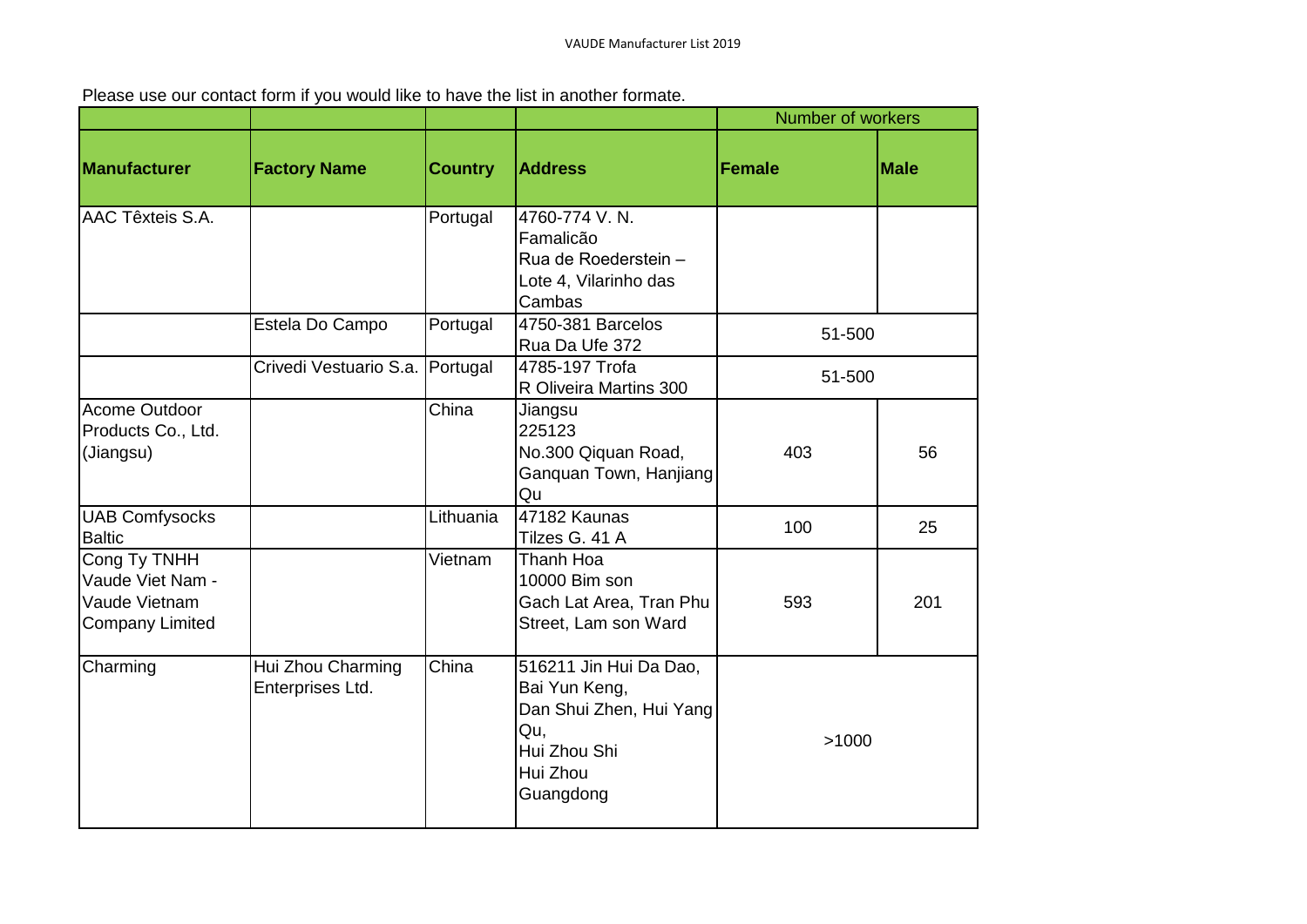Please use our contact form if you would like to have the list in another formate.

|                                                                             |                                       |                |                                                                                                                    | <b>Number of workers</b> |             |
|-----------------------------------------------------------------------------|---------------------------------------|----------------|--------------------------------------------------------------------------------------------------------------------|--------------------------|-------------|
| Manufacturer                                                                | <b>Factory Name</b>                   | <b>Country</b> | <b>Address</b>                                                                                                     | Female                   | <b>Male</b> |
| AAC Têxteis S.A.                                                            |                                       | Portugal       | 4760-774 V.N.<br>Famalicão<br>Rua de Roederstein -<br>Lote 4, Vilarinho das<br>Cambas                              |                          |             |
|                                                                             | Estela Do Campo                       | Portugal       | 4750-381 Barcelos<br>Rua Da Ufe 372                                                                                | 51-500                   |             |
|                                                                             | Crivedi Vestuario S.a. Portugal       |                | 4785-197 Trofa<br>R Oliveira Martins 300                                                                           | 51-500                   |             |
| Acome Outdoor<br>Products Co., Ltd.<br>(Jiangsu)                            |                                       | China          | Jiangsu<br>225123<br>No.300 Qiquan Road,<br>Ganquan Town, Hanjiang<br>Qu                                           | 403                      | 56          |
| <b>UAB Comfysocks</b><br><b>Baltic</b>                                      |                                       | Lithuania      | 47182 Kaunas<br>Tilzes G. 41 A                                                                                     | 100                      | 25          |
| Cong Ty TNHH<br>Vaude Viet Nam -<br>Vaude Vietnam<br><b>Company Limited</b> |                                       | Vietnam        | Thanh Hoa<br>10000 Bim son<br>Gach Lat Area, Tran Phu<br>Street, Lam son Ward                                      | 593                      | 201         |
| Charming                                                                    | Hui Zhou Charming<br>Enterprises Ltd. | China          | 516211 Jin Hui Da Dao,<br>Bai Yun Keng,<br>Dan Shui Zhen, Hui Yang<br>Qu,<br>Hui Zhou Shi<br>Hui Zhou<br>Guangdong | >1000                    |             |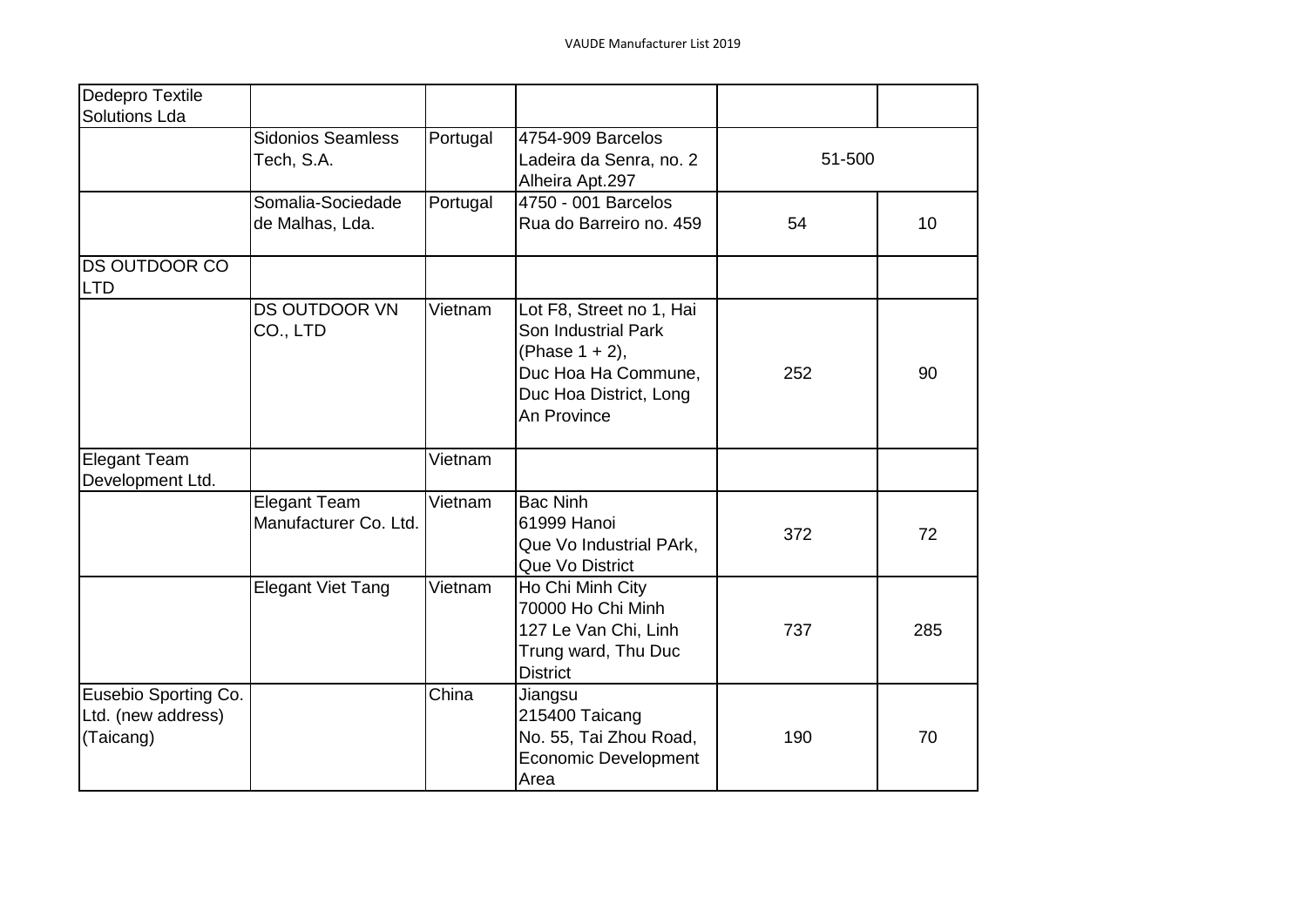| Dedepro Textile      |                           |          |                                                 |        |                 |
|----------------------|---------------------------|----------|-------------------------------------------------|--------|-----------------|
| <b>Solutions Lda</b> |                           |          |                                                 |        |                 |
|                      | <b>Sidonios Seamless</b>  | Portugal | 4754-909 Barcelos                               |        |                 |
|                      | Tech, S.A.                |          | Ladeira da Senra, no. 2                         | 51-500 |                 |
|                      |                           |          | Alheira Apt.297                                 |        |                 |
|                      | Somalia-Sociedade         | Portugal | 4750 - 001 Barcelos                             |        |                 |
|                      | de Malhas, Lda.           |          | Rua do Barreiro no. 459                         | 54     | 10 <sup>1</sup> |
| <b>DS OUTDOOR CO</b> |                           |          |                                                 |        |                 |
| LTD                  |                           |          |                                                 |        |                 |
|                      | DS OUTDOOR VN<br>CO., LTD | Vietnam  | Lot F8, Street no 1, Hai<br>Son Industrial Park |        |                 |
|                      |                           |          | (Phase 1 + 2),                                  |        |                 |
|                      |                           |          | Duc Hoa Ha Commune,                             | 252    | 90              |
|                      |                           |          | Duc Hoa District, Long                          |        |                 |
|                      |                           |          | An Province                                     |        |                 |
|                      |                           |          |                                                 |        |                 |
| <b>Elegant Team</b>  |                           | Vietnam  |                                                 |        |                 |
| Development Ltd.     |                           |          |                                                 |        |                 |
|                      | <b>Elegant Team</b>       | Vietnam  | <b>Bac Ninh</b>                                 |        |                 |
|                      | Manufacturer Co. Ltd.     |          | 61999 Hanoi                                     | 372    | 72              |
|                      |                           |          | Que Vo Industrial PArk,                         |        |                 |
|                      |                           |          | Que Vo District                                 |        |                 |
|                      | <b>Elegant Viet Tang</b>  | Vietnam  | Ho Chi Minh City                                |        |                 |
|                      |                           |          | 70000 Ho Chi Minh                               |        |                 |
|                      |                           |          | 127 Le Van Chi, Linh                            | 737    | 285             |
|                      |                           |          | Trung ward, Thu Duc                             |        |                 |
|                      |                           |          | <b>District</b>                                 |        |                 |
| Eusebio Sporting Co. |                           | China    | Jiangsu                                         |        |                 |
| Ltd. (new address)   |                           |          | 215400 Taicang                                  |        |                 |
| (Taicang)            |                           |          | No. 55, Tai Zhou Road,                          | 190    | 70              |
|                      |                           |          | <b>Economic Development</b>                     |        |                 |
|                      |                           |          | Area                                            |        |                 |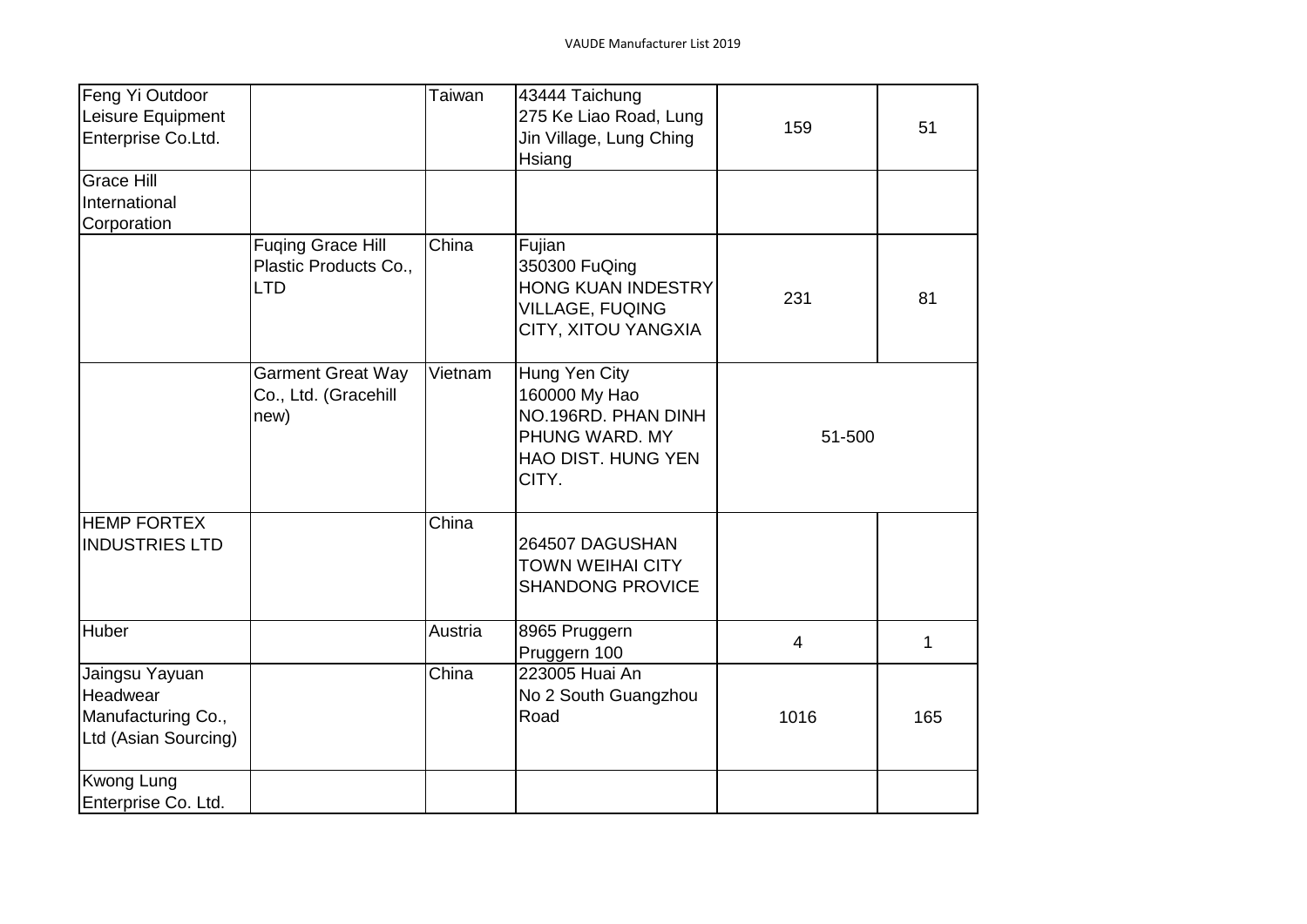| Feng Yi Outdoor       |                                                          | Taiwan  | 43444 Taichung                                                                                         |                          |     |
|-----------------------|----------------------------------------------------------|---------|--------------------------------------------------------------------------------------------------------|--------------------------|-----|
| Leisure Equipment     |                                                          |         | 275 Ke Liao Road, Lung                                                                                 | 159                      | 51  |
| Enterprise Co.Ltd.    |                                                          |         | Jin Village, Lung Ching                                                                                |                          |     |
|                       |                                                          |         | Hsiang                                                                                                 |                          |     |
| <b>Grace Hill</b>     |                                                          |         |                                                                                                        |                          |     |
| International         |                                                          |         |                                                                                                        |                          |     |
| Corporation           |                                                          |         |                                                                                                        |                          |     |
|                       | <b>Fuging Grace Hill</b><br>Plastic Products Co.,<br>LTD | China   | Fujian<br>350300 FuQing<br><b>HONG KUAN INDESTRY</b><br><b>VILLAGE, FUQING</b><br>CITY, XITOU YANGXIA  | 231                      | 81  |
|                       | <b>Garment Great Way</b><br>Co., Ltd. (Gracehill<br>new) | Vietnam | Hung Yen City<br>160000 My Hao<br>NO.196RD. PHAN DINH<br>PHUNG WARD. MY<br>HAO DIST. HUNG YEN<br>CITY. | 51-500                   |     |
| <b>HEMP FORTEX</b>    |                                                          | China   |                                                                                                        |                          |     |
| <b>INDUSTRIES LTD</b> |                                                          |         | 264507 DAGUSHAN<br><b>TOWN WEIHAI CITY</b><br><b>SHANDONG PROVICE</b>                                  |                          |     |
| Huber                 |                                                          | Austria | 8965 Pruggern<br>Pruggern 100                                                                          | $\overline{\mathcal{A}}$ | 1   |
| Jaingsu Yayuan        |                                                          | China   | 223005 Huai An                                                                                         |                          |     |
| Headwear              |                                                          |         | No 2 South Guangzhou                                                                                   |                          |     |
| Manufacturing Co.,    |                                                          |         | Road                                                                                                   | 1016                     | 165 |
| Ltd (Asian Sourcing)  |                                                          |         |                                                                                                        |                          |     |
| <b>Kwong Lung</b>     |                                                          |         |                                                                                                        |                          |     |
| Enterprise Co. Ltd.   |                                                          |         |                                                                                                        |                          |     |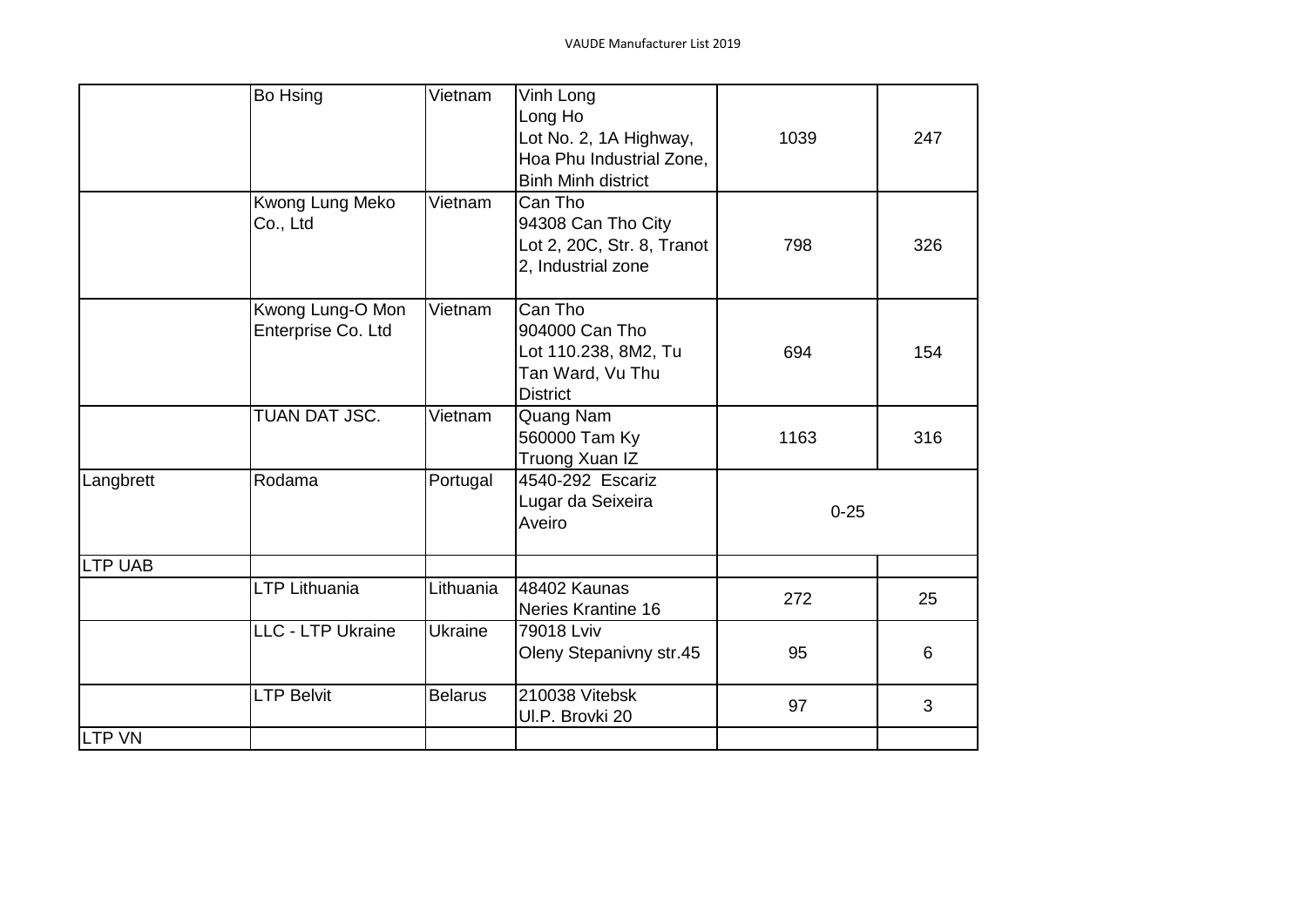|                | Bo Hsing           | Vietnam        | Vinh Long                  |          |     |
|----------------|--------------------|----------------|----------------------------|----------|-----|
|                |                    |                | Long Ho                    |          |     |
|                |                    |                |                            |          |     |
|                |                    |                | Lot No. 2, 1A Highway,     | 1039     | 247 |
|                |                    |                | Hoa Phu Industrial Zone,   |          |     |
|                |                    |                | <b>Binh Minh district</b>  |          |     |
|                | Kwong Lung Meko    | Vietnam        | Can Tho                    |          |     |
|                | Co., Ltd           |                | 94308 Can Tho City         |          |     |
|                |                    |                | Lot 2, 20C, Str. 8, Tranot | 798      | 326 |
|                |                    |                | 2, Industrial zone         |          |     |
|                |                    |                |                            |          |     |
|                | Kwong Lung-O Mon   | Vietnam        | Can Tho                    |          |     |
|                | Enterprise Co. Ltd |                | 904000 Can Tho             |          |     |
|                |                    |                | Lot 110.238, 8M2, Tu       | 694      | 154 |
|                |                    |                | Tan Ward, Vu Thu           |          |     |
|                |                    |                | <b>District</b>            |          |     |
|                | TUAN DAT JSC.      | Vietnam        | Quang Nam                  |          |     |
|                |                    |                | 560000 Tam Ky              | 1163     | 316 |
|                |                    |                | Truong Xuan IZ             |          |     |
| Langbrett      | Rodama             | Portugal       | 4540-292 Escariz           |          |     |
|                |                    |                |                            |          |     |
|                |                    |                | Lugar da Seixeira          | $0 - 25$ |     |
|                |                    |                | Aveiro                     |          |     |
| <b>LTP UAB</b> |                    |                |                            |          |     |
|                | LTP Lithuania      | Lithuania      | 48402 Kaunas               |          |     |
|                |                    |                | <b>Neries Krantine 16</b>  | 272      | 25  |
|                | LLC - LTP Ukraine  | Ukraine        | 79018 Lviv                 |          |     |
|                |                    |                | Oleny Stepanivny str.45    | 95       | 6   |
|                |                    |                |                            |          |     |
|                | <b>LTP Belvit</b>  | <b>Belarus</b> | 210038 Vitebsk             | 97       | 3   |
|                |                    |                | UI.P. Brovki 20            |          |     |
| <b>LTP VN</b>  |                    |                |                            |          |     |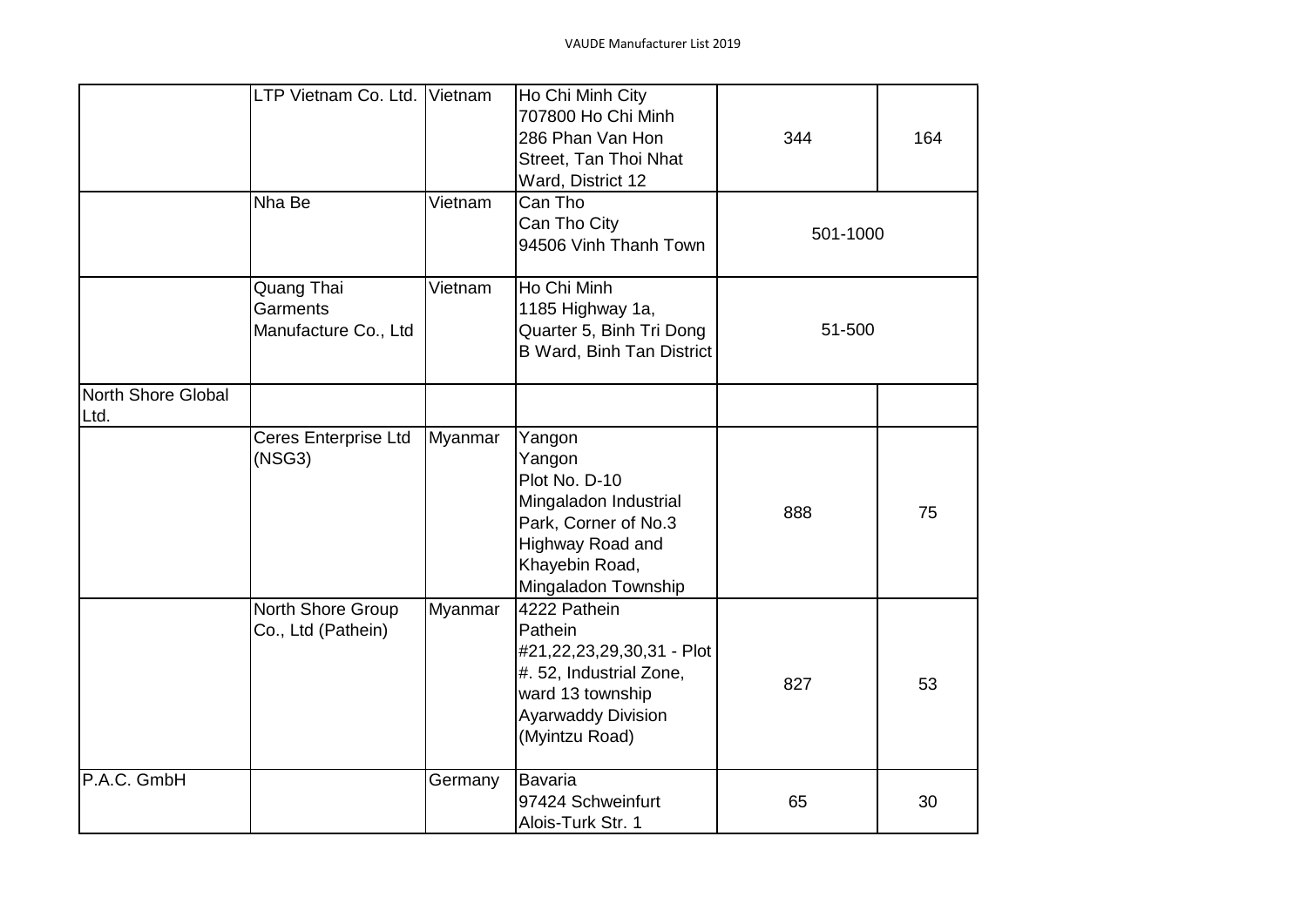|                            | LTP Vietnam Co. Ltd. Vietnam                   |         | Ho Chi Minh City<br>707800 Ho Chi Minh<br>286 Phan Van Hon<br>Street, Tan Thoi Nhat<br>Ward, District 12                                           | 344      | 164 |
|----------------------------|------------------------------------------------|---------|----------------------------------------------------------------------------------------------------------------------------------------------------|----------|-----|
|                            | Nha Be                                         | Vietnam | Can Tho<br>Can Tho City<br>94506 Vinh Thanh Town                                                                                                   | 501-1000 |     |
|                            | Quang Thai<br>Garments<br>Manufacture Co., Ltd | Vietnam | Ho Chi Minh<br>1185 Highway 1a,<br>Quarter 5, Binh Tri Dong<br>B Ward, Binh Tan District                                                           | 51-500   |     |
| North Shore Global<br>Ltd. |                                                |         |                                                                                                                                                    |          |     |
|                            | Ceres Enterprise Ltd<br>(NSG3)                 | Myanmar | Yangon<br>Yangon<br>Plot No. D-10<br>Mingaladon Industrial<br>Park, Corner of No.3<br>Highway Road and<br>Khayebin Road,<br>Mingaladon Township    | 888      | 75  |
|                            | North Shore Group<br>Co., Ltd (Pathein)        | Myanmar | 4222 Pathein<br>Pathein<br>#21,22,23,29,30,31 - Plot<br>#. 52, Industrial Zone,<br>ward 13 township<br><b>Ayarwaddy Division</b><br>(Myintzu Road) | 827      | 53  |
| P.A.C. GmbH                |                                                | Germany | Bavaria<br>97424 Schweinfurt<br>Alois-Turk Str. 1                                                                                                  | 65       | 30  |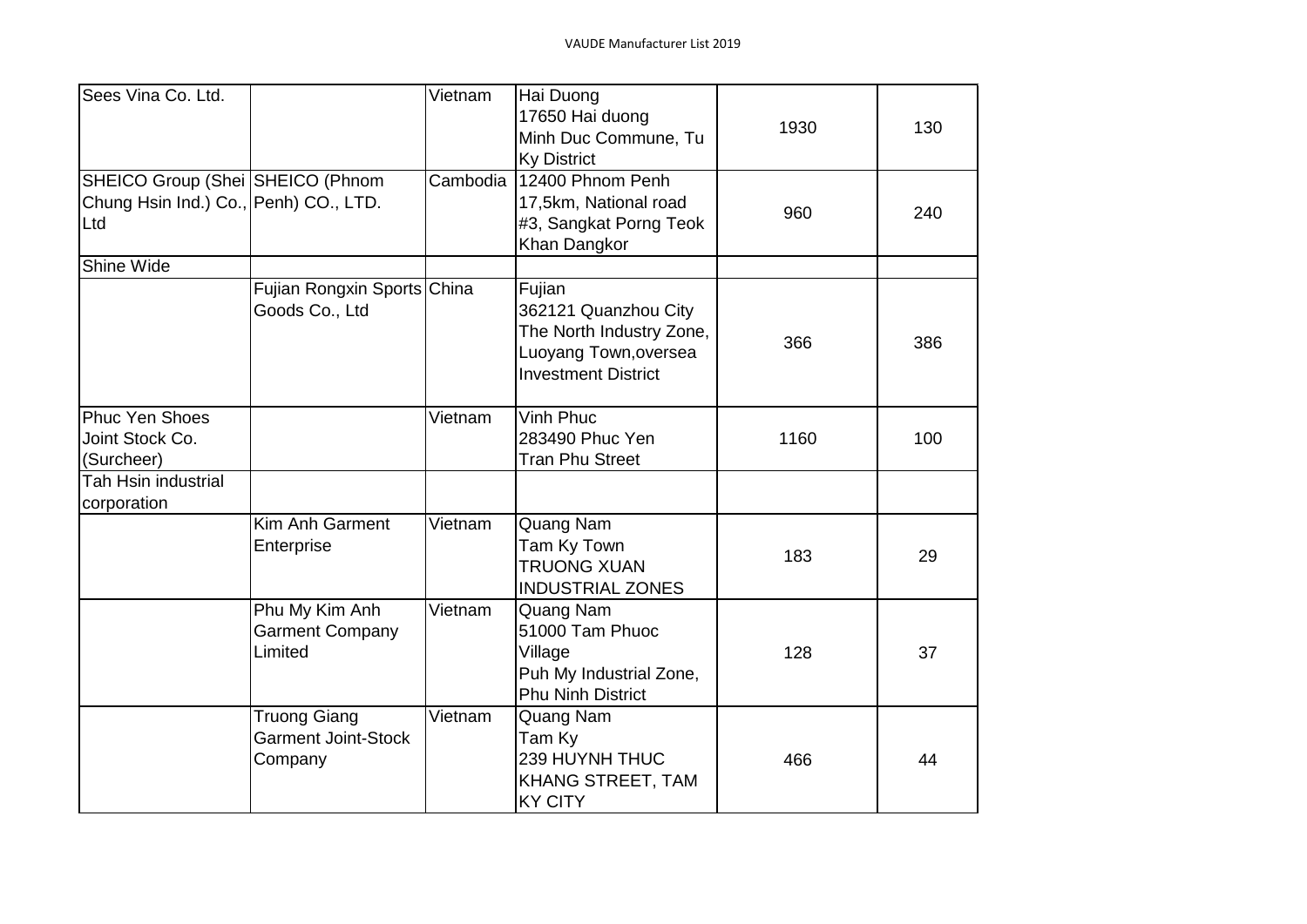| Sees Vina Co. Ltd.                                                               |                                                              | Vietnam  | Hai Duong<br>17650 Hai duong<br>Minh Duc Commune, Tu<br><b>Ky District</b>                                        | 1930 | 130 |
|----------------------------------------------------------------------------------|--------------------------------------------------------------|----------|-------------------------------------------------------------------------------------------------------------------|------|-----|
| SHEICO Group (Shei SHEICO (Phnom<br>Chung Hsin Ind.) Co., Penh) CO., LTD.<br>Ltd |                                                              | Cambodia | 12400 Phnom Penh<br>17,5km, National road<br>#3, Sangkat Porng Teok<br>Khan Dangkor                               | 960  | 240 |
| Shine Wide                                                                       |                                                              |          |                                                                                                                   |      |     |
|                                                                                  | Fujian Rongxin Sports China<br>Goods Co., Ltd                |          | Fujian<br>362121 Quanzhou City<br>The North Industry Zone,<br>Luoyang Town, oversea<br><b>Investment District</b> | 366  | 386 |
| <b>Phuc Yen Shoes</b><br>Joint Stock Co.<br>(Surcheer)                           |                                                              | Vietnam  | Vinh Phuc<br>283490 Phuc Yen<br><b>Tran Phu Street</b>                                                            | 1160 | 100 |
| <b>Tah Hsin industrial</b><br>corporation                                        |                                                              |          |                                                                                                                   |      |     |
|                                                                                  | Kim Anh Garment<br>Enterprise                                | Vietnam  | Quang Nam<br>Tam Ky Town<br><b>TRUONG XUAN</b><br><b>INDUSTRIAL ZONES</b>                                         | 183  | 29  |
|                                                                                  | Phu My Kim Anh<br><b>Garment Company</b><br>Limited          | Vietnam  | Quang Nam<br>51000 Tam Phuoc<br>Village<br>Puh My Industrial Zone,<br><b>Phu Ninh District</b>                    | 128  | 37  |
|                                                                                  | <b>Truong Giang</b><br><b>Garment Joint-Stock</b><br>Company | Vietnam  | Quang Nam<br>Tam Ky<br>239 HUYNH THUC<br>KHANG STREET, TAM<br><b>KY CITY</b>                                      | 466  | 44  |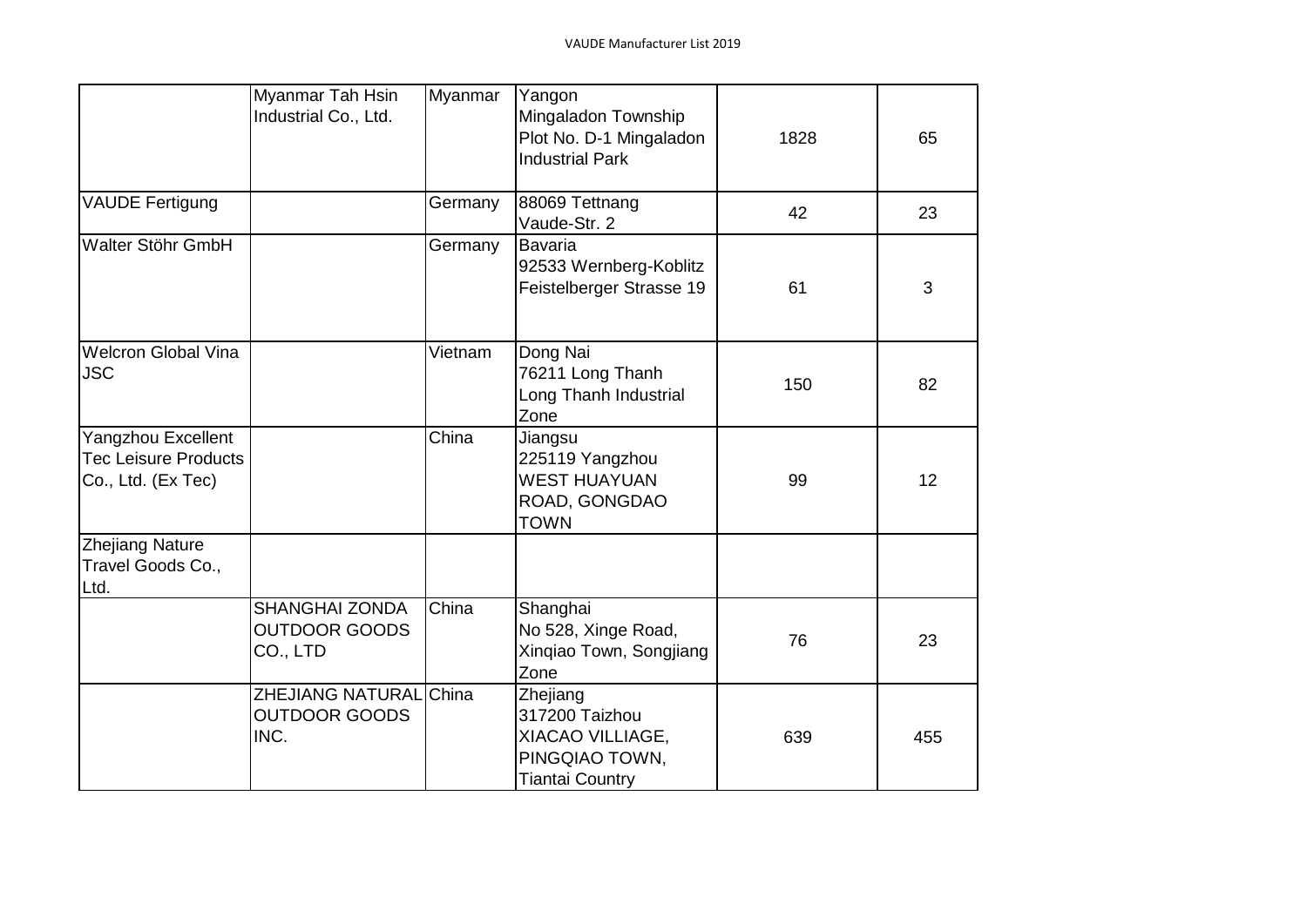|                                                                         | Myanmar Tah Hsin<br>Industrial Co., Ltd.                  | Myanmar | Yangon<br>Mingaladon Township<br>Plot No. D-1 Mingaladon<br><b>Industrial Park</b>         | 1828 | 65  |
|-------------------------------------------------------------------------|-----------------------------------------------------------|---------|--------------------------------------------------------------------------------------------|------|-----|
| VAUDE Fertigung                                                         |                                                           | Germany | 88069 Tettnang<br>Vaude-Str. 2                                                             | 42   | 23  |
| Walter Stöhr GmbH                                                       |                                                           | Germany | <b>Bavaria</b><br>92533 Wernberg-Koblitz<br>Feistelberger Strasse 19                       | 61   | 3   |
| <b>Welcron Global Vina</b><br><b>JSC</b>                                |                                                           | Vietnam | Dong Nai<br>76211 Long Thanh<br>Long Thanh Industrial<br>Zone                              | 150  | 82  |
| Yangzhou Excellent<br><b>Tec Leisure Products</b><br>Co., Ltd. (Ex Tec) |                                                           | China   | Jiangsu<br>225119 Yangzhou<br><b>WEST HUAYUAN</b><br>ROAD, GONGDAO<br><b>TOWN</b>          | 99   | 12  |
| <b>Zhejiang Nature</b><br>Travel Goods Co.,<br>Ltd.                     |                                                           |         |                                                                                            |      |     |
|                                                                         | <b>SHANGHAI ZONDA</b><br><b>OUTDOOR GOODS</b><br>CO., LTD | China   | Shanghai<br>No 528, Xinge Road,<br>Xinqiao Town, Songjiang<br>Zone                         | 76   | 23  |
|                                                                         | ZHEJIANG NATURAL China<br><b>OUTDOOR GOODS</b><br>INC.    |         | Zhejiang<br>317200 Taizhou<br>XIACAO VILLIAGE,<br>PINGQIAO TOWN,<br><b>Tiantai Country</b> | 639  | 455 |